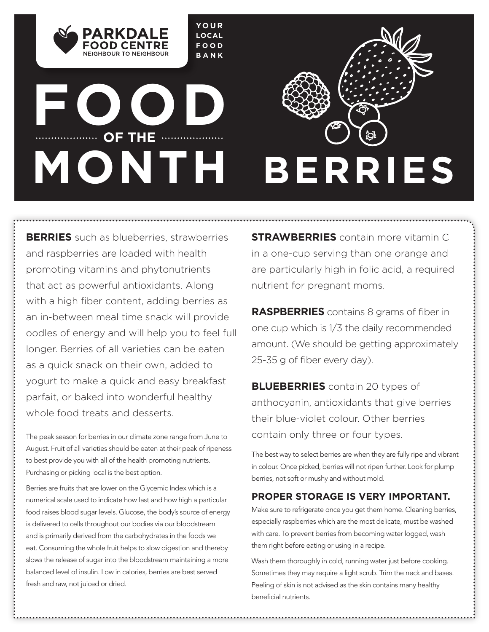**YOUR LOCAL FOOD BANK**

# **FOOD WE THE WELLOW OF THE**

NEIGHROUR TO NEIGHROUR



**BERRIES** such as blueberries, strawberries and raspberries are loaded with health promoting vitamins and phytonutrients that act as powerful antioxidants. Along with a high fiber content, adding berries as an in-between meal time snack will provide oodles of energy and will help you to feel full longer. Berries of all varieties can be eaten as a quick snack on their own, added to yogurt to make a quick and easy breakfast parfait, or baked into wonderful healthy whole food treats and desserts.

The peak season for berries in our climate zone range from June to August. Fruit of all varieties should be eaten at their peak of ripeness to best provide you with all of the health promoting nutrients. Purchasing or picking local is the best option.

Berries are fruits that are lower on the Glycemic Index which is a numerical scale used to indicate how fast and how high a particular food raises blood sugar levels. Glucose, the body's source of energy is delivered to cells throughout our bodies via our bloodstream and is primarily derived from the carbohydrates in the foods we eat. Consuming the whole fruit helps to slow digestion and thereby slows the release of sugar into the bloodstream maintaining a more balanced level of insulin. Low in calories, berries are best served fresh and raw, not juiced or dried.

**STRAWBERRIES** contain more vitamin C in a one-cup serving than one orange and are particularly high in folic acid, a required nutrient for pregnant moms.

**RASPBERRIES** contains 8 grams of fiber in one cup which is 1/3 the daily recommended amount. (We should be getting approximately 25-35 g of fiber every day).

**BLUEBERRIES** contain 20 types of anthocyanin, antioxidants that give berries their blue-violet colour. Other berries contain only three or four types.

The best way to select berries are when they are fully ripe and vibrant in colour. Once picked, berries will not ripen further. Look for plump berries, not soft or mushy and without mold.

## **PROPER STORAGE IS VERY IMPORTANT.**

Make sure to refrigerate once you get them home. Cleaning berries, especially raspberries which are the most delicate, must be washed with care. To prevent berries from becoming water logged, wash them right before eating or using in a recipe.

Wash them thoroughly in cold, running water just before cooking. Sometimes they may require a light scrub. Trim the neck and bases. Peeling of skin is not advised as the skin contains many healthy beneficial nutrients.